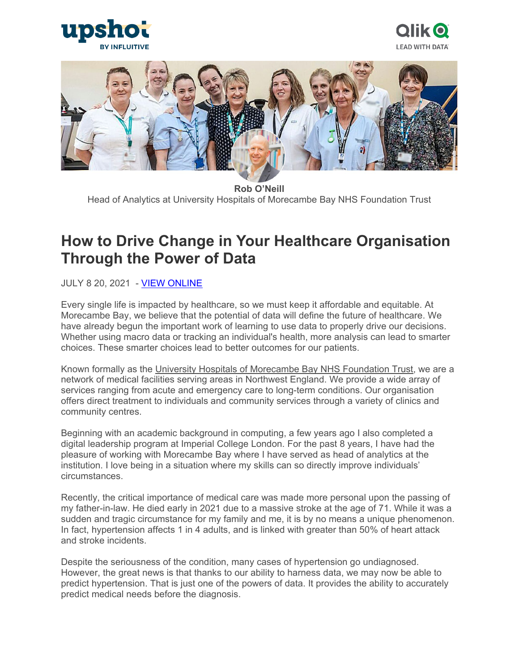





**Rob O'Neill** Head of Analytics at University Hospitals of Morecambe Bay NHS Foundation Trust

# **How to Drive Change in Your Healthcare Organisation Through the Power of Data**

**JULY 8 20, 2021 - [VIEW ONLINE](https://upshotstories.com/stories/how-to-drive-change-in-your-healthcare-organisation-through-the-power-of-data)** 

Every single life is impacted by healthcare, so we must keep it affordable and equitable. At Morecambe Bay, we believe that the potential of data will define the future of healthcare. We have already begun the important work of learning to use data to properly drive our decisions. Whether using macro data or tracking an individual's health, more analysis can lead to smarter choices. These smarter choices lead to better outcomes for our patients.

Known formally as the [University Hospitals of Morecambe Bay NHS Foundation Trust,](https://www.uhmb.nhs.uk/) we are a network of medical facilities serving areas in Northwest England. We provide a wide array of services ranging from acute and emergency care to long-term conditions. Our organisation offers direct treatment to individuals and community services through a variety of clinics and community centres.

Beginning with an academic background in computing, a few years ago I also completed a digital leadership program at Imperial College London. For the past 8 years, I have had the pleasure of working with Morecambe Bay where I have served as head of analytics at the institution. I love being in a situation where my skills can so directly improve individuals' circumstances.

Recently, the critical importance of medical care was made more personal upon the passing of my father-in-law. He died early in 2021 due to a massive stroke at the age of 71. While it was a sudden and tragic circumstance for my family and me, it is by no means a unique phenomenon. In fact, hypertension affects 1 in 4 adults, and is linked with greater than 50% of heart attack and stroke incidents.

Despite the seriousness of the condition, many cases of hypertension go undiagnosed. However, the great news is that thanks to our ability to harness data, we may now be able to predict hypertension. That is just one of the powers of data. It provides the ability to accurately predict medical needs before the diagnosis.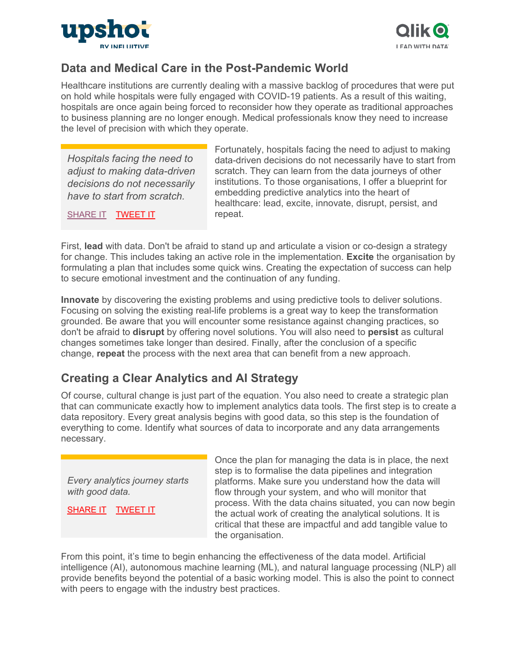



#### **Data and Medical Care in the Post-Pandemic World**

Healthcare institutions are currently dealing with a massive backlog of procedures that were put on hold while hospitals were fully engaged with COVID-19 patients. As a result of this waiting, hospitals are once again being forced to reconsider how they operate as traditional approaches to business planning are no longer enough. Medical professionals know they need to increase the level of precision with which they operate.

*Hospitals facing the need to adjust to making data-driven decisions do not necessarily have to start from scratch.*

[SHARE IT](https://linkedin.com/shareArticle?url=http%3A%2F%2Fupshotstories.com%2Fstories%2F991%3Futm_source%3Dpost%26utm_medium%3Dlinkedin1%26utm_campaign%3Dpost991&mini=true&title=Hospitals%20facing%20the%20need%20to%20adjust%20to%20making%20data-driven%20decisions%20do%20not%20necessarily%20have%20to%20start%20from%20scratch.%20%20%20%20%20%20%20&summary=How%20to%20Drive%20Change%20in%20Your%20Healthcare%20Organisation%20Through%20the%20Power%20of%20Data) **[TWEET IT](https://twitter.com/intent/tweet?text=Hospitals%20facing%20the%20need%20to%20adjust%20to%20making%20data-driven%20decisions%20do%20not%20necessarily%20have%20to%20start%20from%20scratch.%20%20http%3A%2F%2Fupshotstories.com%2Fstories%2F991%3Futm_source%3Dpost%26utm_medium%3Dtweet1%26utm_campaign%3Dpost991)** 

Fortunately, hospitals facing the need to adjust to making data-driven decisions do not necessarily have to start from scratch. They can learn from the data journeys of other institutions. To those organisations, I offer a blueprint for embedding predictive analytics into the heart of healthcare: lead, excite, innovate, disrupt, persist, and repeat.

First, **lead** with data. Don't be afraid to stand up and articulate a vision or co-design a strategy for change. This includes taking an active role in the implementation. **Excite** the organisation by formulating a plan that includes some quick wins. Creating the expectation of success can help to secure emotional investment and the continuation of any funding.

**Innovate** by discovering the existing problems and using predictive tools to deliver solutions. Focusing on solving the existing real-life problems is a great way to keep the transformation grounded. Be aware that you will encounter some resistance against changing practices, so don't be afraid to **disrupt** by offering novel solutions. You will also need to **persist** as cultural changes sometimes take longer than desired. Finally, after the conclusion of a specific change, **repeat** the process with the next area that can benefit from a new approach.

## **Creating a Clear Analytics and AI Strategy**

Of course, cultural change is just part of the equation. You also need to create a strategic plan that can communicate exactly how to implement analytics data tools. The first step is to create a data repository. Every great analysis begins with good data, so this step is the foundation of everything to come. Identify what sources of data to incorporate and any data arrangements necessary.

*Every analytics journey starts with good data.*

[SHARE IT](https://linkedin.com/shareArticle?url=http%3A%2F%2Fupshotstories.com%2Fstories%2F991%3Futm_source%3Dpost%26utm_medium%3Dlinkedin2%26utm_campaign%3Dpost991&mini=true&title=Every%20analytics%20journey%20starts%20with%20good%20data.%20%20%20%20%20%20%20&summary=How%20to%20Drive%20Change%20in%20Your%20Healthcare%20Organisation%20Through%20the%20Power%20of%20Data) [TWEET IT](https://twitter.com/intent/tweet?text=Every%20analytics%20journey%20starts%20with%20good%20data.%20%20http%3A%2F%2Fupshotstories.com%2Fstories%2F991%3Futm_source%3Dpost%26utm_medium%3Dtweet2%26utm_campaign%3Dpost991)

Once the plan for managing the data is in place, the next step is to formalise the data pipelines and integration platforms. Make sure you understand how the data will flow through your system, and who will monitor that process. With the data chains situated, you can now begin the actual work of creating the analytical solutions. It is critical that these are impactful and add tangible value to the organisation.

From this point, it's time to begin enhancing the effectiveness of the data model. Artificial intelligence (AI), autonomous machine learning (ML), and natural language processing (NLP) all provide benefits beyond the potential of a basic working model. This is also the point to connect with peers to engage with the industry best practices.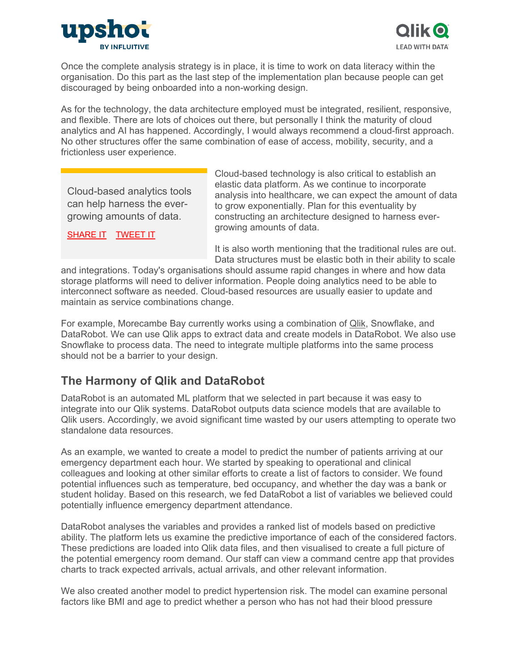



Once the complete analysis strategy is in place, it is time to work on data literacy within the organisation. Do this part as the last step of the implementation plan because people can get discouraged by being onboarded into a non-working design.

As for the technology, the data architecture employed must be integrated, resilient, responsive, and flexible. There are lots of choices out there, but personally I think the maturity of cloud analytics and AI has happened. Accordingly, I would always recommend a cloud-first approach. No other structures offer the same combination of ease of access, mobility, security, and a frictionless user experience.

Cloud-based analytics tools can help harness the evergrowing amounts of data.

[SHARE IT](https://linkedin.com/shareArticle?url=http%3A%2F%2Fupshotstories.com%2Fstories%2F991%3Futm_source%3Dpost%26utm_medium%3Dlinkedin3%26utm_campaign%3Dpost991&mini=true&title=Cloud-based%20analytics%20tools%20can%20help%20harness%20the%20ever-growing%20amounts%20of%20data.%20%20%20%20%20%20%20&summary=How%20to%20Drive%20Change%20in%20Your%20Healthcare%20Organisation%20Through%20the%20Power%20of%20Data) [TWEET IT](https://twitter.com/intent/tweet?text=Cloud-based%20analytics%20tools%20can%20help%20harness%20the%20ever-growing%20amounts%20of%20data.%20%20http%3A%2F%2Fupshotstories.com%2Fstories%2F991%3Futm_source%3Dpost%26utm_medium%3Dtweet3%26utm_campaign%3Dpost991)

Cloud-based technology is also critical to establish an elastic data platform. As we continue to incorporate analysis into healthcare, we can expect the amount of data to grow exponentially. Plan for this eventuality by constructing an architecture designed to harness evergrowing amounts of data.

It is also worth mentioning that the traditional rules are out. Data structures must be elastic both in their ability to scale

and integrations. Today's organisations should assume rapid changes in where and how data storage platforms will need to deliver information. People doing analytics need to be able to interconnect software as needed. Cloud-based resources are usually easier to update and maintain as service combinations change.

For example, Morecambe Bay currently works using a combination of [Qlik,](https://www.qlik.com/us/) Snowflake, and DataRobot. We can use Qlik apps to extract data and create models in DataRobot. We also use Snowflake to process data. The need to integrate multiple platforms into the same process should not be a barrier to your design.

## **The Harmony of Qlik and DataRobot**

DataRobot is an automated ML platform that we selected in part because it was easy to integrate into our Qlik systems. DataRobot outputs data science models that are available to Qlik users. Accordingly, we avoid significant time wasted by our users attempting to operate two standalone data resources.

As an example, we wanted to create a model to predict the number of patients arriving at our emergency department each hour. We started by speaking to operational and clinical colleagues and looking at other similar efforts to create a list of factors to consider. We found potential influences such as temperature, bed occupancy, and whether the day was a bank or student holiday. Based on this research, we fed DataRobot a list of variables we believed could potentially influence emergency department attendance.

DataRobot analyses the variables and provides a ranked list of models based on predictive ability. The platform lets us examine the predictive importance of each of the considered factors. These predictions are loaded into Qlik data files, and then visualised to create a full picture of the potential emergency room demand. Our staff can view a command centre app that provides charts to track expected arrivals, actual arrivals, and other relevant information.

We also created another model to predict hypertension risk. The model can examine personal factors like BMI and age to predict whether a person who has not had their blood pressure